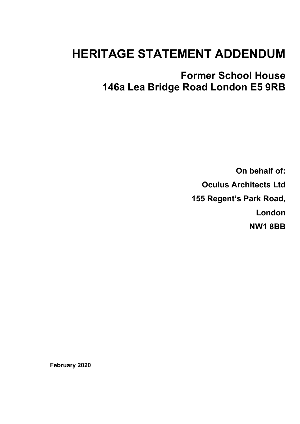# **HERITAGE STATEMENT ADDENDUM**

**Former School House 146a Lea Bridge Road London E5 9RB**

> **On behalf of: Oculus Architects Ltd 155 Regent's Park Road, London NW1 8BB**

**February 2020**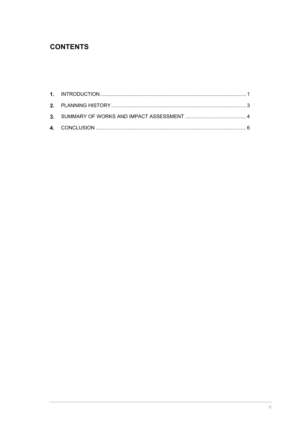## **CONTENTS**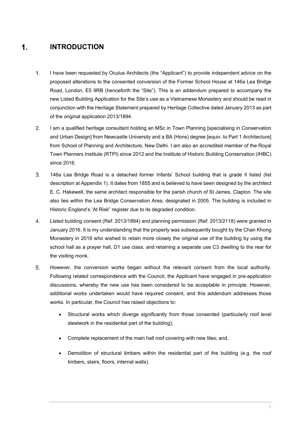#### <span id="page-2-0"></span> $\mathbf 1$ . **INTRODUCTION**

- $1<sub>1</sub>$ I have been requested by Oculus Architects (the "Applicant") to provide independent advice on the proposed alterations to the consented conversion of the Former School House at 146a Lea Bridge Road, London, E5 9RB (henceforth the "Site"). This is an addendum prepared to accompany the new Listed Building Application for the Site's use as a Vietnamese Monastery and should be read in conjunction with the Heritage Statement prepared by Heritage Collective dated January 2013 as part of the original application 2013/1894.
- $2.$ I am a qualified heritage consultant holding an MSc in Town Planning [specialising in Conservation and Urban Design] from Newcastle University and a BA (Hons) degree [equiv. to Part 1 Architecture] from School of Planning and Architecture, New Delhi. I am also an accredited member of the Royal Town Planners Institute (RTPI) since 2012 and the Institute of Historic Building Conservation (IHBC) since 2016.
- $3.$ 146a Lea Bridge Road is a detached former Infants' School building that is grade II listed (list description at Appendix 1). It dates from 1855 and is believed to have been designed by the architect E. C. Hakewell, the same architect responsible for the parish church of St James, Clapton. The site also lies within the Lea Bridge Conservation Area, designated in 2005. The building is included in Historic England's 'At Risk" register due to its degraded condition.
- $\overline{4}$ . Listed building consent (Ref: 2013/1894) and planning permission (Ref: 2013/2118) were granted in January 2016. It is my understanding that the property was subsequently bought by the Chan Khong Monastery in 2018 who wished to retain more closely the original use of the building by using the school hall as a prayer hall, D1 use class, and retaining a separate use C3 dwelling to the rear for the visiting monk.
- $5<sub>1</sub>$ However, the conversion works began without the relevant consent from the local authority. Following related correspondence with the Council, the Applicant have engaged in pre-application discussions, whereby the new use has been considered to be acceptable in principle. However, additional works undertaken would have required consent, and this addendum addresses those works. In particular, the Council has raised objections to:
	- Structural works which diverge significantly from those consented (particularly roof level steelwork in the residential part of the building);
	- Complete replacement of the main hall roof covering with new tiles; and,
	- Demolition of structural timbers within the residential part of the building (e.g. the roof timbers, stairs, floors, internal walls).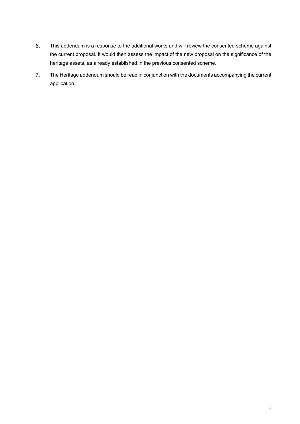- 6. This addendum is a response to the additional works and will review the consented scheme against the current proposal. It would then assess the impact of the new proposal on the significance of the heritage assets, as already established in the previous consented scheme.
- $\overline{7}$ . The Heritage addendum should be read in conjunction with the documents accompanying the current application.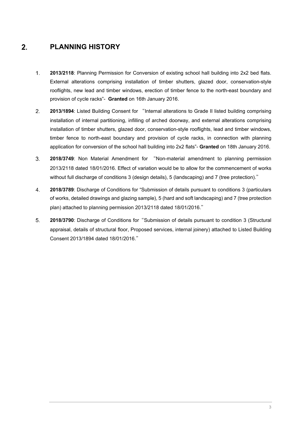#### <span id="page-4-0"></span> $2.$ **PLANNING HISTORY**

- $1<sub>1</sub>$ **2013/2118**: Planning Permission for Conversion of existing school hall building into 2x2 bed flats. External alterations comprising installation of timber shutters, glazed door, conservation-style rooflights, new lead and timber windows, erection of timber fence to the north-east boundary and provision of cycle racks"- **Granted** on 16th January 2016.
- $2.$ **2013/1894**: Listed Building Consent for "Internal alterations to Grade II listed building comprising installation of internal partitioning, infilling of arched doorway, and external alterations comprising installation of timber shutters, glazed door, conservation-style rooflights, lead and timber windows, timber fence to north-east boundary and provision of cycle racks, in connection with planning application for conversion of the school hall building into 2x2 flats"- **Granted** on 18th January 2016.
- $3<sub>l</sub>$ **2018/3749**: Non Material Amendment for "Non-material amendment to planning permission 2013/2118 dated 18/01/2016. Effect of variation would be to allow for the commencement of works without full discharge of conditions 3 (design details), 5 (landscaping) and 7 (tree protection)."
- $\overline{4}$ . **2018/3789**: Discharge of Conditions for "Submission of details pursuant to conditions 3 (particulars of works, detailed drawings and glazing sample), 5 (hard and soft landscaping) and 7 (tree protection plan) attached to planning permission 2013/2118 dated 18/01/2016."
- 5. **2018/3790**: Discharge of Conditions for"Submission of details pursuant to condition 3 (Structural appraisal, details of structural floor, Proposed services, internal joinery) attached to Listed Building Consent 2013/1894 dated 18/01/2016."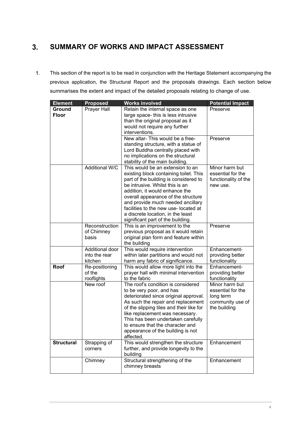### <span id="page-5-0"></span>**SUMMARY OF WORKS AND IMPACT ASSESSMENT**  $3.$

This section of the report is to be read in conjunction with the Heritage Statement accompanying the  $1.$ previous application, the Structural Report and the proposals drawings. Each section below summarises the extent and impact of the detailed proposals relating to change of use.

| <b>Element</b>         | <b>Proposed</b>                             | <b>Works involved</b>                                                                                                                                                                                                                                                                                                                                                                  | <b>Potential Impact</b>                                                              |
|------------------------|---------------------------------------------|----------------------------------------------------------------------------------------------------------------------------------------------------------------------------------------------------------------------------------------------------------------------------------------------------------------------------------------------------------------------------------------|--------------------------------------------------------------------------------------|
| Ground<br><b>Floor</b> | Prayer Hall                                 | Retain the internal space as one<br>large space- this is less intrusive<br>than the original proposal as it<br>would not require any further<br>interventions.                                                                                                                                                                                                                         | Preserve                                                                             |
|                        |                                             | New altar- This would be a free-<br>standing structure, with a statue of<br>Lord Buddha centrally placed with<br>no implications on the structural<br>stability of the main building.                                                                                                                                                                                                  | Preserve                                                                             |
|                        | Additional W/C                              | This would be an extension to an<br>existing block containing toilet. This<br>part of the building is considered to<br>be intrusive. Whilst this is an<br>addition, it would enhance the<br>overall appearance of the structure<br>and provide much needed ancillary<br>facilities to the new use-located at<br>a discrete location, in the least<br>significant part of the building. | Minor harm but<br>essential for the<br>functionality of the<br>new use.              |
|                        | Reconstruction<br>of Chimney<br>basis       | This is an improvement to the<br>previous proposal as it would retain<br>original plan form and feature within<br>the building                                                                                                                                                                                                                                                         | Preserve                                                                             |
|                        | Additional door<br>into the rear<br>kitchen | This would require intervention<br>within later partitions and would not<br>harm any fabric of significance.                                                                                                                                                                                                                                                                           | Enhancement-<br>providing better<br>functionality                                    |
| Roof                   | Re-positioning<br>of the<br>rooflights      | This would allow more light into the<br>prayer hall with minimal intervention<br>to the fabric                                                                                                                                                                                                                                                                                         | Enhancement-<br>providing better<br>functionality                                    |
|                        | New roof                                    | The roof's condition is considered<br>to be very poor, and has<br>deteriorated since original approval.<br>As such the repair and replacement<br>of the slipping tiles and their like for<br>like replacement was necessary.<br>This has been undertaken carefully<br>to ensure that the character and<br>appearance of the building is not<br>affected.                               | Minor harm but<br>essential for the<br>long term<br>community use of<br>the building |
| <b>Structural</b>      | Strapping of<br>corners                     | This would strengthen the structure<br>further, and provide longevity to the<br>building                                                                                                                                                                                                                                                                                               | Enhancement                                                                          |
|                        | Chimney                                     | Structural strengthening of the<br>chimney breasts                                                                                                                                                                                                                                                                                                                                     | Enhancement                                                                          |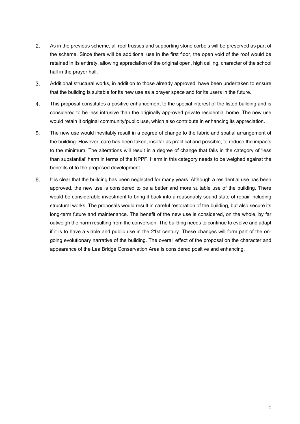- $2.$ As in the previous scheme, all roof trusses and supporting stone corbels will be preserved as part of the scheme. Since there will be additional use in the first floor, the open void of the roof would be retained in its entirety, allowing appreciation of the original open, high ceiling, character of the school hall in the prayer hall.
- $3<sub>1</sub>$ Additional structural works, in addition to those already approved, have been undertaken to ensure that the building is suitable for its new use as a prayer space and for its users in the future.
- $4.$ This proposal constitutes a positive enhancement to the special interest of the listed building and is considered to be less intrusive than the originally approved private residential home. The new use would retain it original community/public use, which also contribute in enhancing its appreciation.
- $5<sub>1</sub>$ The new use would inevitably result in a degree of change to the fabric and spatial arrangement of the building. However, care has been taken, insofar as practical and possible, to reduce the impacts to the minimum. The alterations will result in a degree of change that falls in the category of 'less than substantial' harm in terms of the NPPF. Harm in this category needs to be weighed against the benefits of to the proposed development.
- 6. It is clear that the building has been neglected for many years. Although a residential use has been approved, the new use is considered to be a better and more suitable use of the building. There would be considerable investment to bring it back into a reasonably sound state of repair including structural works. The proposals would result in careful restoration of the building, but also secure its long-term future and maintenance. The benefit of the new use is considered, on the whole, by far outweigh the harm resulting from the conversion. The building needs to continue to evolve and adapt if it is to have a viable and public use in the 21st century. These changes will form part of the ongoing evolutionary narrative of the building. The overall effect of the proposal on the character and appearance of the Lea Bridge Conservation Area is considered positive and enhancing.